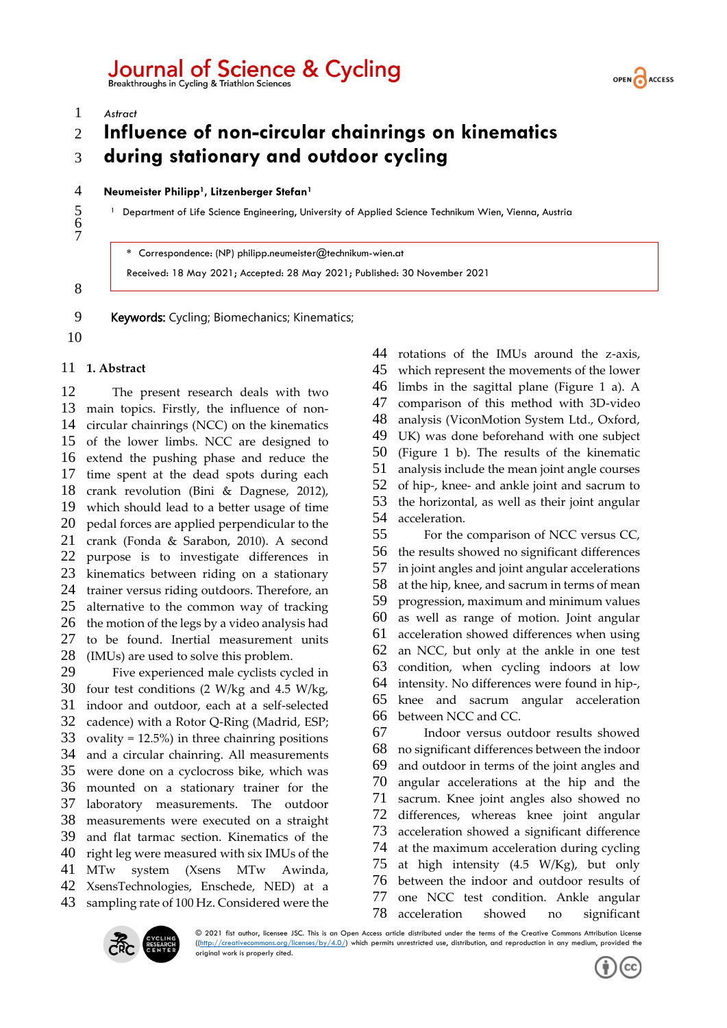# Journal of Science & Cycling<br>Breakthroughs in Cycling & Triathlon Sciences



*Astract*

## **Influence of non-circular chainrings on kinematics during stationary and outdoor cycling**

#### **Neumeister Philipp<sup>1</sup> , Litzenberger Stefan<sup>1</sup>**

<sup>1</sup> Department of Life Science Engineering, University of Applied Science Technikum Wien, Vienna, Austria

**\*** Correspondence: (NP) philipp.neumeister@technikum-wien.at

Received: 18 May 2021; Accepted: 28 May 2021; Published: 30 November 2021

 

- 9 Keywords: Cycling; Biomechanics; Kinematics;
- 

### **1. Abstract**

 The present research deals with two main topics. Firstly, the influence of non- circular chainrings (NCC) on the kinematics of the lower limbs. NCC are designed to extend the pushing phase and reduce the time spent at the dead spots during each crank revolution (Bini & Dagnese, 2012), which should lead to a better usage of time pedal forces are applied perpendicular to the crank (Fonda & Sarabon, 2010). A second purpose is to investigate differences in kinematics between riding on a stationary trainer versus riding outdoors. Therefore, an alternative to the common way of tracking the motion of the legs by a video analysis had to be found. Inertial measurement units (IMUs) are used to solve this problem. Five experienced male cyclists cycled in four test conditions (2 W/kg and 4.5 W/kg, indoor and outdoor, each at a self-selected cadence) with a Rotor Q-Ring (Madrid, ESP; ovality = 12.5%) in three chainring positions and a circular chainring. All measurements were done on a cyclocross bike, which was mounted on a stationary trainer for the laboratory measurements. The outdoor measurements were executed on a straight

and flat tarmac section. Kinematics of the

- right leg were measured with six IMUs of the MTw system (Xsens MTw Awinda,
- XsensTechnologies, Enschede, NED) at a sampling rate of 100 Hz. Considered were the

 rotations of the IMUs around the z-axis, which represent the movements of the lower limbs in the sagittal plane (Figure 1 a). A comparison of this method with 3D-video analysis (ViconMotion System Ltd., Oxford, UK) was done beforehand with one subject (Figure 1 b). The results of the kinematic analysis include the mean joint angle courses of hip-, knee- and ankle joint and sacrum to the horizontal, as well as their joint angular acceleration. For the comparison of NCC versus CC, the results showed no significant differences in joint angles and joint angular accelerations

 at the hip, knee, and sacrum in terms of mean progression, maximum and minimum values as well as range of motion. Joint angular acceleration showed differences when using an NCC, but only at the ankle in one test condition, when cycling indoors at low intensity. No differences were found in hip-, knee and sacrum angular acceleration between NCC and CC.

 Indoor versus outdoor results showed no significant differences between the indoor and outdoor in terms of the joint angles and angular accelerations at the hip and the sacrum. Knee joint angles also showed no differences, whereas knee joint angular acceleration showed a significant difference at the maximum acceleration during cycling at high intensity (4.5 W/Kg), but only between the indoor and outdoor results of one NCC test condition. Ankle angular acceleration showed no significant